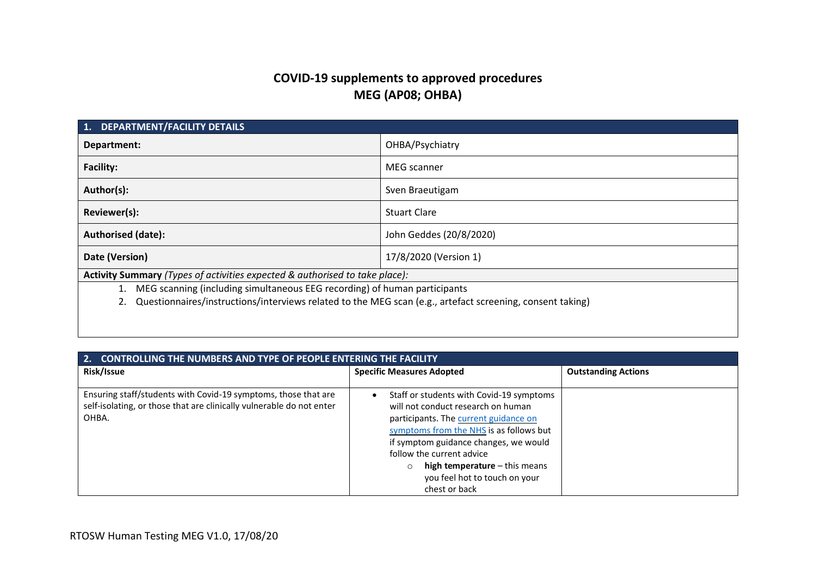# **COVID-19 supplements to approved procedures MEG (AP08; OHBA)**

| <b>DEPARTMENT/FACILITY DETAILS</b><br>1.                                                                  |                         |  |
|-----------------------------------------------------------------------------------------------------------|-------------------------|--|
| Department:                                                                                               | OHBA/Psychiatry         |  |
| <b>Facility:</b>                                                                                          | MEG scanner             |  |
| Author(s):                                                                                                | Sven Braeutigam         |  |
| Reviewer(s):                                                                                              | <b>Stuart Clare</b>     |  |
| <b>Authorised (date):</b>                                                                                 | John Geddes (20/8/2020) |  |
| Date (Version)<br>17/8/2020 (Version 1)                                                                   |                         |  |
| Activity Summary (Types of activities expected & authorised to take place):                               |                         |  |
| MEG scanning (including simultaneous EEG recording) of human participants                                 |                         |  |
| Questionnaires/instructions/interviews related to the MEG scan (e.g., artefact screening, consent taking) |                         |  |
|                                                                                                           |                         |  |

| <b>CONTROLLING THE NUMBERS AND TYPE OF PEOPLE ENTERING THE FACILITY</b><br>2.                                                                   |                                                                                                                                                                                                                                                                                                                                      |                            |
|-------------------------------------------------------------------------------------------------------------------------------------------------|--------------------------------------------------------------------------------------------------------------------------------------------------------------------------------------------------------------------------------------------------------------------------------------------------------------------------------------|----------------------------|
| Risk/Issue                                                                                                                                      | <b>Specific Measures Adopted</b>                                                                                                                                                                                                                                                                                                     | <b>Outstanding Actions</b> |
| Ensuring staff/students with Covid-19 symptoms, those that are<br>self-isolating, or those that are clinically vulnerable do not enter<br>OHBA. | Staff or students with Covid-19 symptoms<br>$\bullet$<br>will not conduct research on human<br>participants. The current guidance on<br>symptoms from the NHS is as follows but<br>if symptom guidance changes, we would<br>follow the current advice<br>high temperature $-$ this means<br>$\circ$<br>you feel hot to touch on your |                            |
|                                                                                                                                                 | chest or back                                                                                                                                                                                                                                                                                                                        |                            |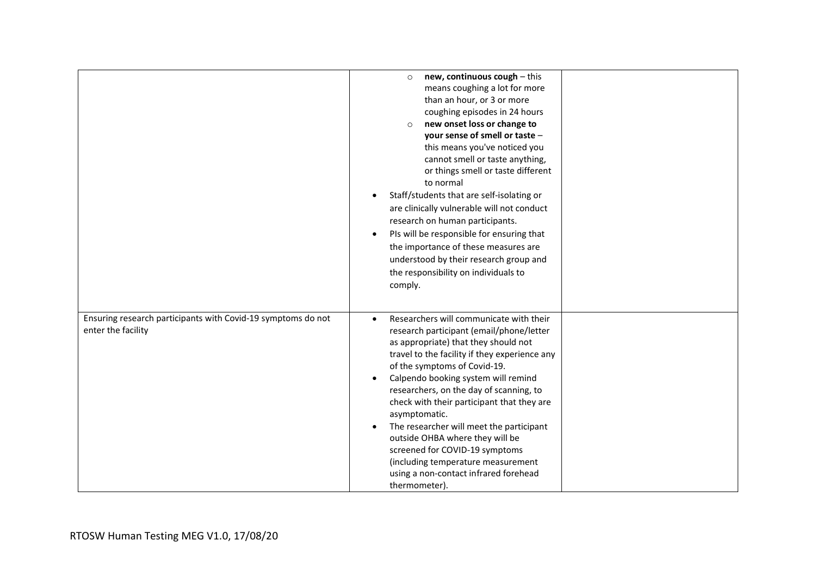|                                                                                    | new, continuous cough - this<br>$\circ$<br>means coughing a lot for more<br>than an hour, or 3 or more<br>coughing episodes in 24 hours<br>new onset loss or change to<br>$\circ$<br>your sense of smell or taste -<br>this means you've noticed you<br>cannot smell or taste anything,<br>or things smell or taste different<br>to normal<br>Staff/students that are self-isolating or<br>$\bullet$<br>are clinically vulnerable will not conduct<br>research on human participants.<br>PIs will be responsible for ensuring that<br>$\bullet$<br>the importance of these measures are<br>understood by their research group and<br>the responsibility on individuals to<br>comply. |  |
|------------------------------------------------------------------------------------|--------------------------------------------------------------------------------------------------------------------------------------------------------------------------------------------------------------------------------------------------------------------------------------------------------------------------------------------------------------------------------------------------------------------------------------------------------------------------------------------------------------------------------------------------------------------------------------------------------------------------------------------------------------------------------------|--|
| Ensuring research participants with Covid-19 symptoms do not<br>enter the facility | Researchers will communicate with their<br>$\bullet$<br>research participant (email/phone/letter<br>as appropriate) that they should not<br>travel to the facility if they experience any<br>of the symptoms of Covid-19.<br>Calpendo booking system will remind<br>$\bullet$<br>researchers, on the day of scanning, to<br>check with their participant that they are<br>asymptomatic.<br>The researcher will meet the participant<br>$\bullet$<br>outside OHBA where they will be<br>screened for COVID-19 symptoms<br>(including temperature measurement<br>using a non-contact infrared forehead<br>thermometer).                                                                |  |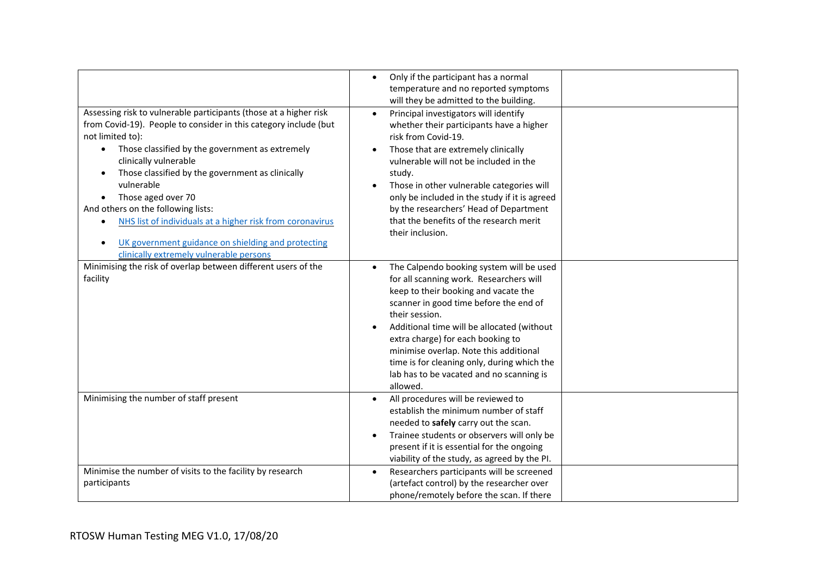| Assessing risk to vulnerable participants (those at a higher risk<br>from Covid-19). People to consider in this category include (but<br>not limited to):<br>Those classified by the government as extremely<br>$\bullet$<br>clinically vulnerable<br>Those classified by the government as clinically<br>vulnerable<br>Those aged over 70<br>And others on the following lists:<br>NHS list of individuals at a higher risk from coronavirus<br>$\bullet$<br>UK government guidance on shielding and protecting<br>clinically extremely vulnerable persons | Only if the participant has a normal<br>$\bullet$<br>temperature and no reported symptoms<br>will they be admitted to the building.<br>Principal investigators will identify<br>whether their participants have a higher<br>risk from Covid-19.<br>Those that are extremely clinically<br>vulnerable will not be included in the<br>study.<br>Those in other vulnerable categories will<br>only be included in the study if it is agreed<br>by the researchers' Head of Department<br>that the benefits of the research merit<br>their inclusion. |
|-------------------------------------------------------------------------------------------------------------------------------------------------------------------------------------------------------------------------------------------------------------------------------------------------------------------------------------------------------------------------------------------------------------------------------------------------------------------------------------------------------------------------------------------------------------|---------------------------------------------------------------------------------------------------------------------------------------------------------------------------------------------------------------------------------------------------------------------------------------------------------------------------------------------------------------------------------------------------------------------------------------------------------------------------------------------------------------------------------------------------|
| Minimising the risk of overlap between different users of the<br>facility                                                                                                                                                                                                                                                                                                                                                                                                                                                                                   | The Calpendo booking system will be used<br>for all scanning work. Researchers will<br>keep to their booking and vacate the<br>scanner in good time before the end of<br>their session.<br>Additional time will be allocated (without<br>extra charge) for each booking to<br>minimise overlap. Note this additional<br>time is for cleaning only, during which the<br>lab has to be vacated and no scanning is<br>allowed.                                                                                                                       |
| Minimising the number of staff present                                                                                                                                                                                                                                                                                                                                                                                                                                                                                                                      | All procedures will be reviewed to<br>establish the minimum number of staff<br>needed to safely carry out the scan.<br>Trainee students or observers will only be<br>present if it is essential for the ongoing<br>viability of the study, as agreed by the PI.                                                                                                                                                                                                                                                                                   |
| Minimise the number of visits to the facility by research<br>participants                                                                                                                                                                                                                                                                                                                                                                                                                                                                                   | Researchers participants will be screened<br>(artefact control) by the researcher over<br>phone/remotely before the scan. If there                                                                                                                                                                                                                                                                                                                                                                                                                |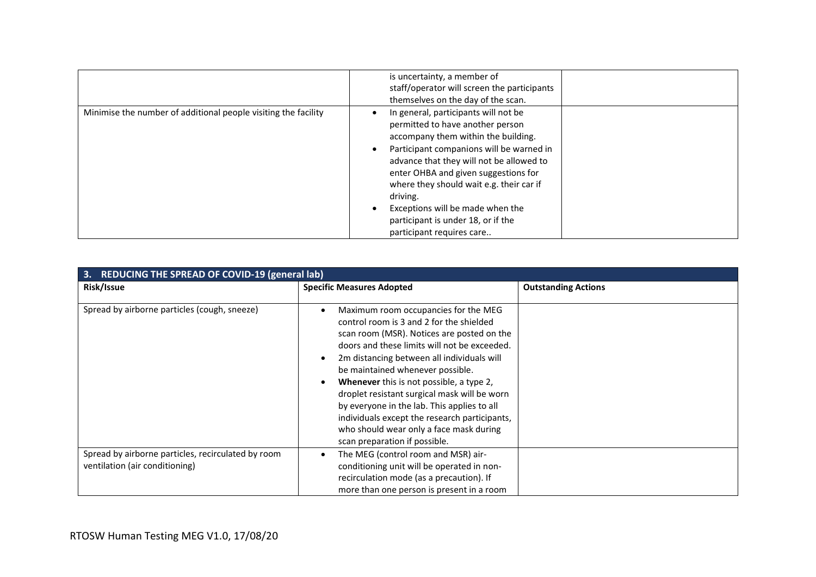|                                                                | is uncertainty, a member of<br>staff/operator will screen the participants<br>themselves on the day of the scan.                                                                                                                                                                                                                                                                                               |
|----------------------------------------------------------------|----------------------------------------------------------------------------------------------------------------------------------------------------------------------------------------------------------------------------------------------------------------------------------------------------------------------------------------------------------------------------------------------------------------|
| Minimise the number of additional people visiting the facility | In general, participants will not be<br>permitted to have another person<br>accompany them within the building.<br>Participant companions will be warned in<br>advance that they will not be allowed to<br>enter OHBA and given suggestions for<br>where they should wait e.g. their car if<br>driving.<br>Exceptions will be made when the<br>participant is under 18, or if the<br>participant requires care |

| 3.<br><b>REDUCING THE SPREAD OF COVID-19 (general lab)</b>                           |                                                                                                                                                                                                                                                                                                                                                                                                                                                                                                                                                 |                            |  |
|--------------------------------------------------------------------------------------|-------------------------------------------------------------------------------------------------------------------------------------------------------------------------------------------------------------------------------------------------------------------------------------------------------------------------------------------------------------------------------------------------------------------------------------------------------------------------------------------------------------------------------------------------|----------------------------|--|
| Risk/Issue                                                                           | <b>Specific Measures Adopted</b>                                                                                                                                                                                                                                                                                                                                                                                                                                                                                                                | <b>Outstanding Actions</b> |  |
| Spread by airborne particles (cough, sneeze)                                         | Maximum room occupancies for the MEG<br>control room is 3 and 2 for the shielded<br>scan room (MSR). Notices are posted on the<br>doors and these limits will not be exceeded.<br>2m distancing between all individuals will<br>be maintained whenever possible.<br><b>Whenever</b> this is not possible, a type 2,<br>droplet resistant surgical mask will be worn<br>by everyone in the lab. This applies to all<br>individuals except the research participants,<br>who should wear only a face mask during<br>scan preparation if possible. |                            |  |
| Spread by airborne particles, recirculated by room<br>ventilation (air conditioning) | The MEG (control room and MSR) air-<br>conditioning unit will be operated in non-                                                                                                                                                                                                                                                                                                                                                                                                                                                               |                            |  |
|                                                                                      | recirculation mode (as a precaution). If                                                                                                                                                                                                                                                                                                                                                                                                                                                                                                        |                            |  |
|                                                                                      | more than one person is present in a room                                                                                                                                                                                                                                                                                                                                                                                                                                                                                                       |                            |  |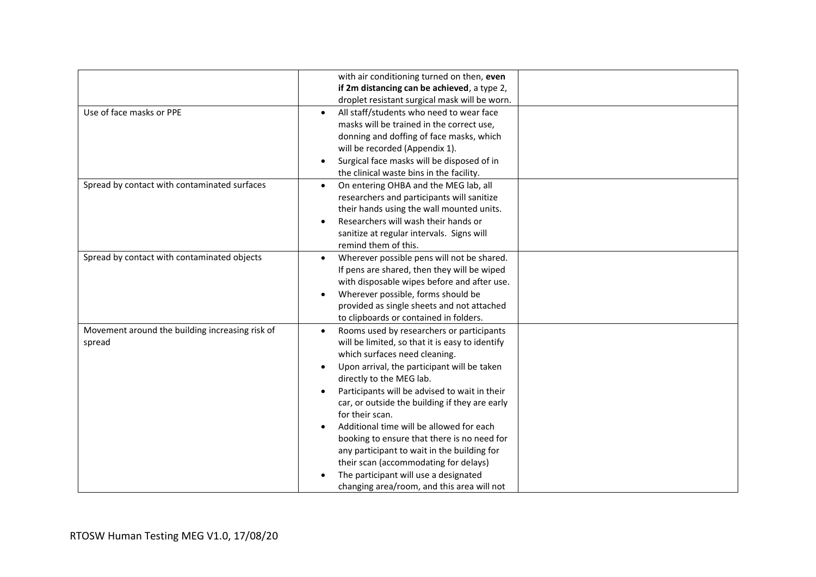|                                                 | with air conditioning turned on then, even         |  |
|-------------------------------------------------|----------------------------------------------------|--|
|                                                 | if 2m distancing can be achieved, a type 2,        |  |
|                                                 | droplet resistant surgical mask will be worn.      |  |
|                                                 |                                                    |  |
| Use of face masks or PPE                        | All staff/students who need to wear face           |  |
|                                                 | masks will be trained in the correct use,          |  |
|                                                 | donning and doffing of face masks, which           |  |
|                                                 | will be recorded (Appendix 1).                     |  |
|                                                 | Surgical face masks will be disposed of in         |  |
|                                                 | the clinical waste bins in the facility.           |  |
| Spread by contact with contaminated surfaces    | On entering OHBA and the MEG lab, all<br>$\bullet$ |  |
|                                                 | researchers and participants will sanitize         |  |
|                                                 | their hands using the wall mounted units.          |  |
|                                                 | Researchers will wash their hands or               |  |
|                                                 | sanitize at regular intervals. Signs will          |  |
|                                                 | remind them of this.                               |  |
| Spread by contact with contaminated objects     | Wherever possible pens will not be shared.         |  |
|                                                 | If pens are shared, then they will be wiped        |  |
|                                                 | with disposable wipes before and after use.        |  |
|                                                 | Wherever possible, forms should be                 |  |
|                                                 | provided as single sheets and not attached         |  |
|                                                 | to clipboards or contained in folders.             |  |
|                                                 |                                                    |  |
| Movement around the building increasing risk of | Rooms used by researchers or participants          |  |
| spread                                          | will be limited, so that it is easy to identify    |  |
|                                                 | which surfaces need cleaning.                      |  |
|                                                 | Upon arrival, the participant will be taken        |  |
|                                                 | directly to the MEG lab.                           |  |
|                                                 | Participants will be advised to wait in their      |  |
|                                                 | car, or outside the building if they are early     |  |
|                                                 | for their scan.                                    |  |
|                                                 | Additional time will be allowed for each           |  |
|                                                 | booking to ensure that there is no need for        |  |
|                                                 | any participant to wait in the building for        |  |
|                                                 | their scan (accommodating for delays)              |  |
|                                                 | The participant will use a designated              |  |
|                                                 | changing area/room, and this area will not         |  |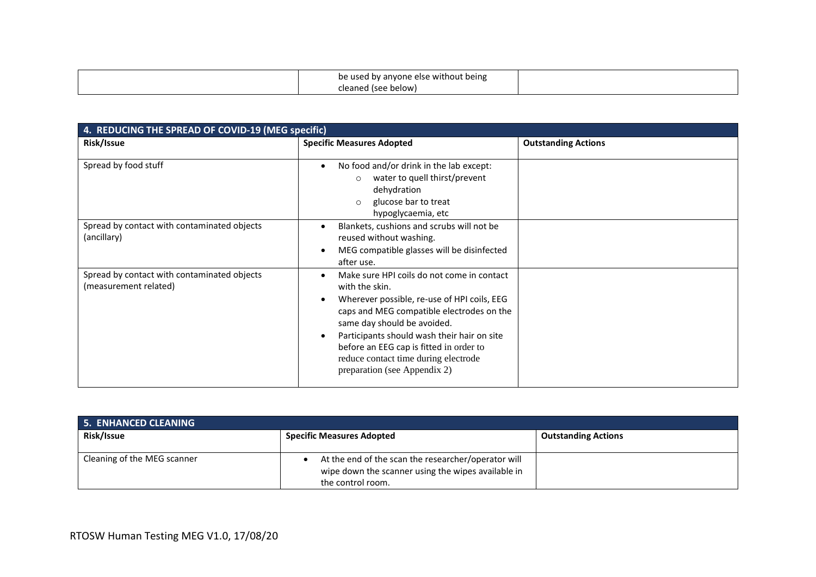| be used by anyone else without being |  |
|--------------------------------------|--|
| cleaned (see below)                  |  |

| 4. REDUCING THE SPREAD OF COVID-19 (MEG specific)                    |                                                                                                                                                                                                                                                                                                                                                           |                            |
|----------------------------------------------------------------------|-----------------------------------------------------------------------------------------------------------------------------------------------------------------------------------------------------------------------------------------------------------------------------------------------------------------------------------------------------------|----------------------------|
| Risk/Issue                                                           | <b>Specific Measures Adopted</b>                                                                                                                                                                                                                                                                                                                          | <b>Outstanding Actions</b> |
| Spread by food stuff                                                 | No food and/or drink in the lab except:<br>water to quell thirst/prevent<br>$\circ$<br>dehydration<br>glucose bar to treat<br>$\circ$<br>hypoglycaemia, etc                                                                                                                                                                                               |                            |
| Spread by contact with contaminated objects<br>(ancillary)           | Blankets, cushions and scrubs will not be<br>reused without washing.<br>MEG compatible glasses will be disinfected<br>after use.                                                                                                                                                                                                                          |                            |
| Spread by contact with contaminated objects<br>(measurement related) | Make sure HPI coils do not come in contact<br>with the skin.<br>Wherever possible, re-use of HPI coils, EEG<br>caps and MEG compatible electrodes on the<br>same day should be avoided.<br>Participants should wash their hair on site<br>before an EEG cap is fitted in order to<br>reduce contact time during electrode<br>preparation (see Appendix 2) |                            |

| <b>5. ENHANCED CLEANING</b> |                                                                                                                                |                            |
|-----------------------------|--------------------------------------------------------------------------------------------------------------------------------|----------------------------|
| Risk/Issue                  | <b>Specific Measures Adopted</b>                                                                                               | <b>Outstanding Actions</b> |
| Cleaning of the MEG scanner | At the end of the scan the researcher/operator will<br>wipe down the scanner using the wipes available in<br>the control room. |                            |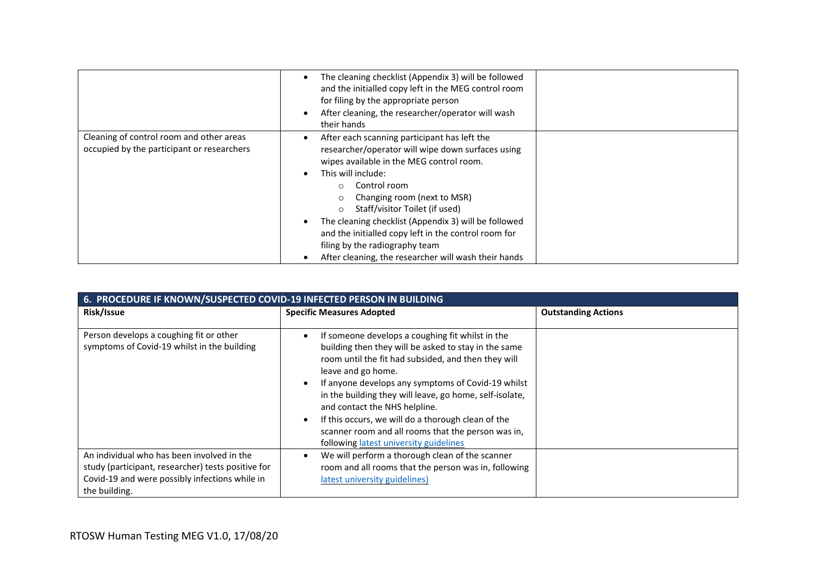|                                                                                        | The cleaning checklist (Appendix 3) will be followed<br>and the initialled copy left in the MEG control room<br>for filing by the appropriate person<br>After cleaning, the researcher/operator will wash<br>their hands                                                                                                                                                                                                                                       |  |
|----------------------------------------------------------------------------------------|----------------------------------------------------------------------------------------------------------------------------------------------------------------------------------------------------------------------------------------------------------------------------------------------------------------------------------------------------------------------------------------------------------------------------------------------------------------|--|
| Cleaning of control room and other areas<br>occupied by the participant or researchers | After each scanning participant has left the<br>researcher/operator will wipe down surfaces using<br>wipes available in the MEG control room.<br>This will include:<br>Control room<br>Changing room (next to MSR)<br>Staff/visitor Toilet (if used)<br>The cleaning checklist (Appendix 3) will be followed<br>and the initialled copy left in the control room for<br>filing by the radiography team<br>After cleaning, the researcher will wash their hands |  |

| 6. PROCEDURE IF KNOWN/SUSPECTED COVID-19 INFECTED PERSON IN BUILDING                                                                                                |                                                                                                                                                                                                                                                                                                                                                                                                                                                                                               |                            |
|---------------------------------------------------------------------------------------------------------------------------------------------------------------------|-----------------------------------------------------------------------------------------------------------------------------------------------------------------------------------------------------------------------------------------------------------------------------------------------------------------------------------------------------------------------------------------------------------------------------------------------------------------------------------------------|----------------------------|
| Risk/Issue                                                                                                                                                          | <b>Specific Measures Adopted</b>                                                                                                                                                                                                                                                                                                                                                                                                                                                              | <b>Outstanding Actions</b> |
| Person develops a coughing fit or other<br>symptoms of Covid-19 whilst in the building                                                                              | If someone develops a coughing fit whilst in the<br>building then they will be asked to stay in the same<br>room until the fit had subsided, and then they will<br>leave and go home.<br>If anyone develops any symptoms of Covid-19 whilst<br>in the building they will leave, go home, self-isolate,<br>and contact the NHS helpline.<br>If this occurs, we will do a thorough clean of the<br>scanner room and all rooms that the person was in,<br>following latest university guidelines |                            |
| An individual who has been involved in the<br>study (participant, researcher) tests positive for<br>Covid-19 and were possibly infections while in<br>the building. | We will perform a thorough clean of the scanner<br>room and all rooms that the person was in, following<br>latest university guidelines)                                                                                                                                                                                                                                                                                                                                                      |                            |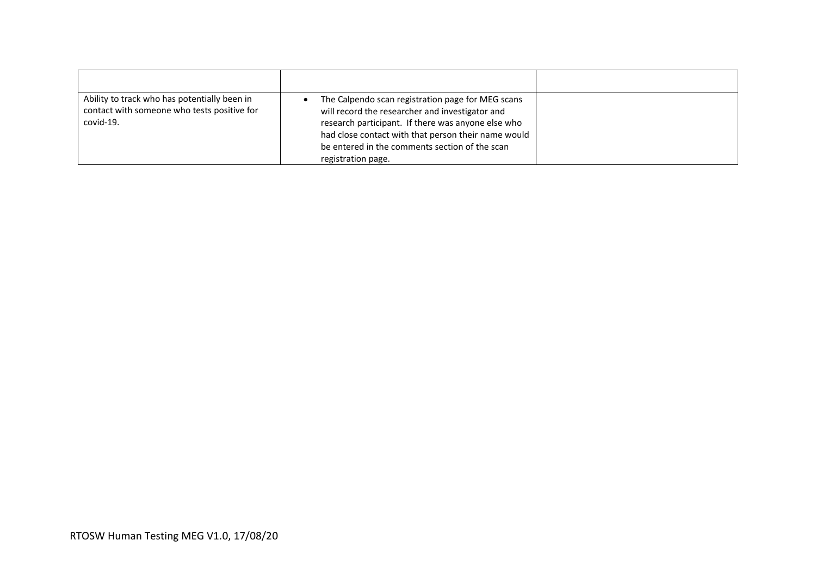| Ability to track who has potentially been in<br>contact with someone who tests positive for<br>covid-19. | The Calpendo scan registration page for MEG scans<br>will record the researcher and investigator and<br>research participant. If there was anyone else who<br>had close contact with that person their name would<br>be entered in the comments section of the scan<br>registration page. |  |
|----------------------------------------------------------------------------------------------------------|-------------------------------------------------------------------------------------------------------------------------------------------------------------------------------------------------------------------------------------------------------------------------------------------|--|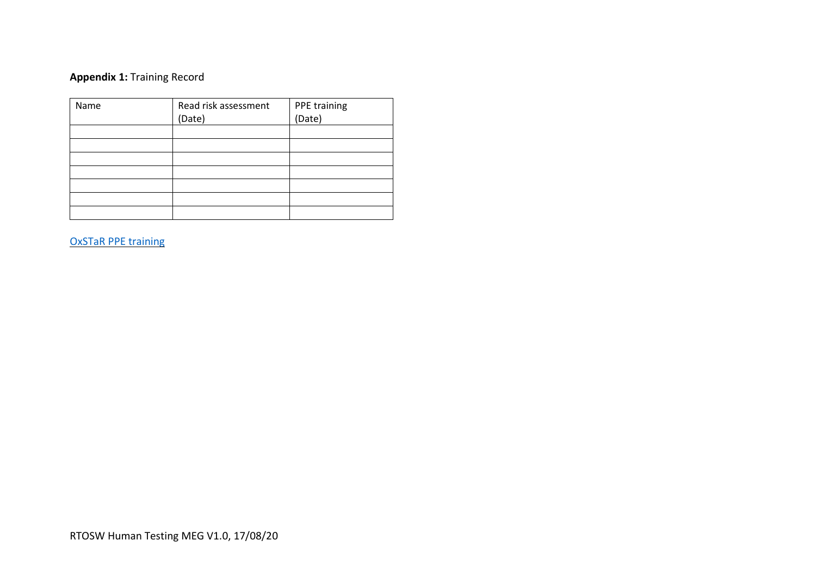## **Appendix 1:** Training Record

| Name | Read risk assessment | PPE training |
|------|----------------------|--------------|
|      | (Date)               | (Date)       |
|      |                      |              |
|      |                      |              |
|      |                      |              |
|      |                      |              |
|      |                      |              |
|      |                      |              |
|      |                      |              |

OxSTaR [PPE training](https://www.oxstar.ox.ac.uk/covid-19/personal-protective-equipment-ppe/ppe)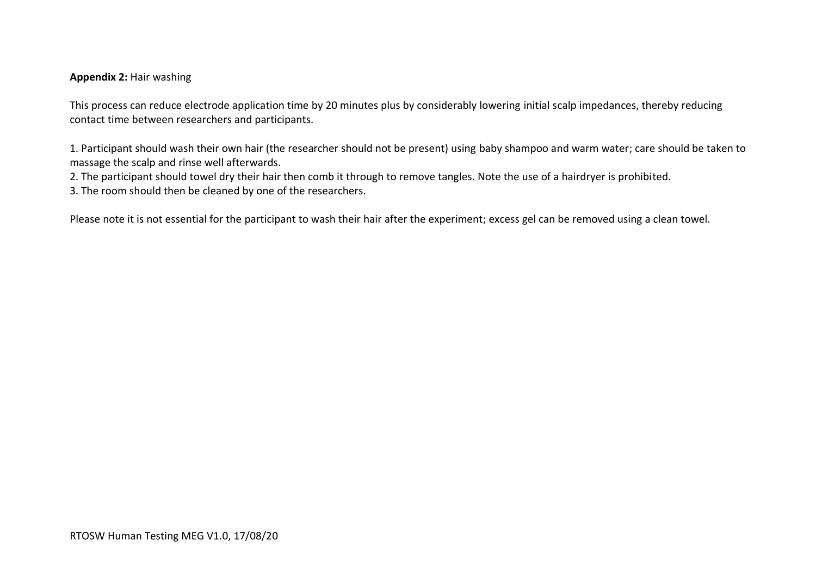#### **Appendix 2:** Hair washing

This process can reduce electrode application time by 20 minutes plus by considerably lowering initial scalp impedances, thereby reducing contact time between researchers and participants.

1. Participant should wash their own hair (the researcher should not be present) using baby shampoo and warm water; care should be taken to massage the scalp and rinse well afterwards.

2. The participant should towel dry their hair then comb it through to remove tangles. Note the use of a hairdryer is prohibited.

3. The room should then be cleaned by one of the researchers.

Please note it is not essential for the participant to wash their hair after the experiment; excess gel can be removed using a clean towel.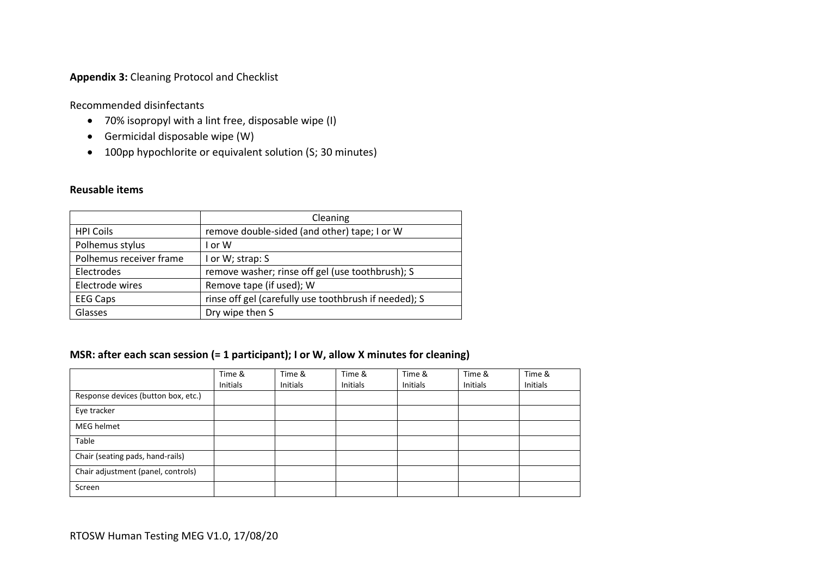#### **Appendix 3:** Cleaning Protocol and Checklist

Recommended disinfectants

- 70% isopropyl with a lint free, disposable wipe (I)
- Germicidal disposable wipe (W)
- 100pp hypochlorite or equivalent solution (S; 30 minutes)

#### **Reusable items**

|                         | Cleaning                                              |
|-------------------------|-------------------------------------------------------|
| <b>HPI Coils</b>        | remove double-sided (and other) tape; I or W          |
| Polhemus stylus         | I or W                                                |
| Polhemus receiver frame | I or W; strap: S                                      |
| Electrodes              | remove washer; rinse off gel (use toothbrush); S      |
| Electrode wires         | Remove tape (if used); W                              |
| <b>EEG Caps</b>         | rinse off gel (carefully use toothbrush if needed); S |
| Glasses                 | Dry wipe then S                                       |

#### **MSR: after each scan session (= 1 participant); I or W, allow X minutes for cleaning)**

|                                     | Time &   | Time &   | Time &   | Time &   | Time &   | Time &   |
|-------------------------------------|----------|----------|----------|----------|----------|----------|
|                                     | Initials | Initials | Initials | Initials | Initials | Initials |
| Response devices (button box, etc.) |          |          |          |          |          |          |
| Eye tracker                         |          |          |          |          |          |          |
| MEG helmet                          |          |          |          |          |          |          |
| Table                               |          |          |          |          |          |          |
| Chair (seating pads, hand-rails)    |          |          |          |          |          |          |
| Chair adjustment (panel, controls)  |          |          |          |          |          |          |
| Screen                              |          |          |          |          |          |          |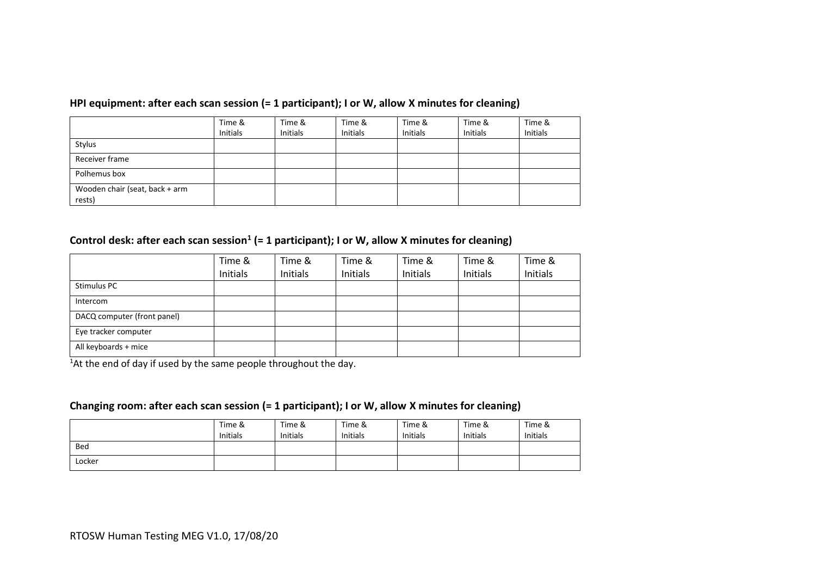#### **HPI equipment: after each scan session (= 1 participant); I or W, allow X minutes for cleaning)**

|                                          | Time &<br>Initials | Time &<br><b>Initials</b> | Time &<br><b>Initials</b> | Time &<br><b>Initials</b> | Time &<br><b>Initials</b> | Time &<br><b>Initials</b> |
|------------------------------------------|--------------------|---------------------------|---------------------------|---------------------------|---------------------------|---------------------------|
| Stylus                                   |                    |                           |                           |                           |                           |                           |
| Receiver frame                           |                    |                           |                           |                           |                           |                           |
| Polhemus box                             |                    |                           |                           |                           |                           |                           |
| Wooden chair (seat, back + arm<br>rests) |                    |                           |                           |                           |                           |                           |

#### **Control desk: after each scan session<sup>1</sup> (= 1 participant); I or W, allow X minutes for cleaning)**

|                             | Time &   | Time &   | Time &   | Time &   | Time &   | Time &   |
|-----------------------------|----------|----------|----------|----------|----------|----------|
|                             | Initials | Initials | Initials | Initials | Initials | Initials |
| Stimulus PC                 |          |          |          |          |          |          |
| Intercom                    |          |          |          |          |          |          |
| DACQ computer (front panel) |          |          |          |          |          |          |
| Eye tracker computer        |          |          |          |          |          |          |
| All keyboards + mice        |          |          |          |          |          |          |

<sup>1</sup>At the end of day if used by the same people throughout the day.

#### **Changing room: after each scan session (= 1 participant); I or W, allow X minutes for cleaning)**

|        | Time &<br><b>Initials</b> | Time &<br><b>Initials</b> | Time &<br><b>Initials</b> | Time &<br><b>Initials</b> | Time &<br><b>Initials</b> | Time &<br><b>Initials</b> |
|--------|---------------------------|---------------------------|---------------------------|---------------------------|---------------------------|---------------------------|
| Bed    |                           |                           |                           |                           |                           |                           |
| Locker |                           |                           |                           |                           |                           |                           |